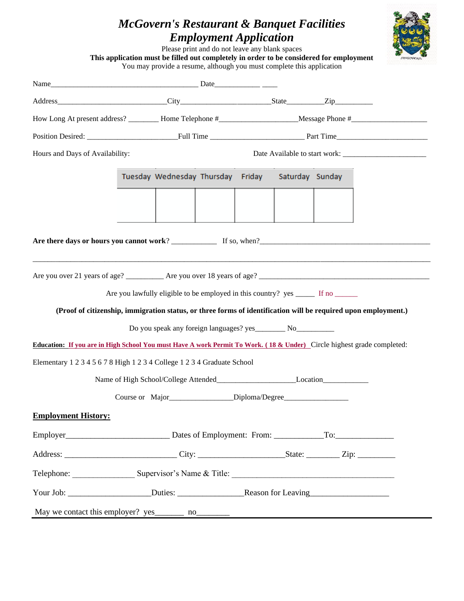## *McGovern's Restaurant & Banquet Facilities Employment Application*



Please print and do not leave any blank spaces **This application must be filled out completely in order to be considered for employment** You may provide a resume, although you must complete this application Name\_\_\_\_\_\_\_\_\_\_\_\_\_\_\_\_\_\_\_\_\_\_\_\_\_\_\_\_\_\_\_\_\_\_\_\_\_\_\_ Date\_\_\_\_\_\_\_\_\_\_\_\_ \_\_\_\_ Address\_\_\_\_\_\_\_\_\_\_\_\_\_\_\_\_\_\_\_\_\_\_\_\_\_\_\_\_\_City\_\_\_\_\_\_\_\_\_\_\_\_\_\_\_\_\_\_\_\_\_\_\_\_State\_\_\_\_\_\_\_\_\_\_Zip\_\_\_\_\_\_\_\_\_\_ How Long At present address? \_\_\_\_\_\_\_\_ Home Telephone #\_\_\_\_\_\_\_\_\_\_\_\_\_\_\_\_\_\_\_\_\_Message Phone #\_\_\_\_\_\_\_\_\_\_\_\_\_\_\_\_\_\_\_\_ Position Desired: \_\_\_\_\_\_\_\_\_\_\_\_\_\_\_\_\_\_\_\_\_\_\_\_Full Time \_\_\_\_\_\_\_\_\_\_\_\_\_\_\_\_\_\_\_\_\_\_\_\_\_ Part Time\_\_\_\_\_\_\_\_\_\_\_\_\_\_\_\_\_\_\_\_\_\_\_\_ Hours and Days of Availability: The Second Date Available to start work: Tuesday Wednesday Thursday Friday Saturday Sunday **Are there days or hours you cannot work**? \_\_\_\_\_\_\_\_\_\_\_\_ If so, when?\_\_\_\_\_\_\_\_\_\_\_\_\_\_\_\_\_\_\_\_\_\_\_\_\_\_\_\_\_\_\_\_\_\_\_\_\_\_\_\_\_\_\_\_\_ \_\_\_\_\_\_\_\_\_\_\_\_\_\_\_\_\_\_\_\_\_\_\_\_\_\_\_\_\_\_\_\_\_\_\_\_\_\_\_\_\_\_\_\_\_\_\_\_\_\_\_\_\_\_\_\_\_\_\_\_\_\_\_\_\_\_\_\_\_\_\_\_\_\_\_\_\_\_\_\_\_\_\_\_\_\_\_\_\_\_\_\_\_\_\_\_\_\_\_\_\_\_\_\_\_ Are you over 21 years of age? \_\_\_\_\_\_\_\_\_\_ Are you over 18 years of age? \_\_\_\_\_\_\_\_\_\_\_\_\_\_\_\_\_\_\_\_\_\_\_\_\_\_\_\_\_\_\_\_\_\_\_\_\_\_\_\_\_\_\_\_\_ Are you lawfully eligible to be employed in this country? yes \_\_\_\_\_\_ If no **(Proof of citizenship, immigration status, or three forms of identification will be required upon employment.)** Do you speak any foreign languages? yes No **Education: If you are in High School You must Have A work Permit To Work. ( 18 & Under)** Circle highest grade completed: Elementary 1 2 3 4 5 6 7 8 High 1 2 3 4 College 1 2 3 4 Graduate School Name of High School/College Attended\_\_\_\_\_\_\_\_\_\_\_\_\_\_\_\_\_\_\_\_\_Location\_\_\_\_\_\_\_\_\_\_\_\_ Course or Major\_\_\_\_\_\_\_\_\_\_\_\_\_\_\_\_\_Diploma/Degree\_\_\_\_\_\_\_\_\_\_\_\_\_\_\_\_\_ **Employment History:** Employer\_\_\_\_\_\_\_\_\_\_\_\_\_\_\_\_\_\_\_\_\_\_\_\_\_ Dates of Employment: From: \_\_\_\_\_\_\_\_\_\_\_\_To:\_\_\_\_\_\_\_\_\_\_\_\_\_\_ Address: \_\_\_\_\_\_\_\_\_\_\_\_\_\_\_\_\_\_\_\_\_\_\_\_\_\_\_ City: \_\_\_\_\_\_\_\_\_\_\_\_\_\_\_\_\_\_\_\_\_State: \_\_\_\_\_\_\_\_ Zip: \_\_\_\_\_\_\_\_\_ Telephone: Supervisor's Name & Title: Your Job: \_\_\_\_\_\_\_\_\_\_\_\_\_\_\_\_\_\_\_\_Duties: \_\_\_\_\_\_\_\_\_\_\_\_\_\_\_\_Reason for Leaving\_\_\_\_\_\_\_\_\_\_\_\_\_\_\_\_\_\_\_ May we contact this employer? yes\_\_\_\_\_\_\_ no\_\_\_\_\_\_\_\_